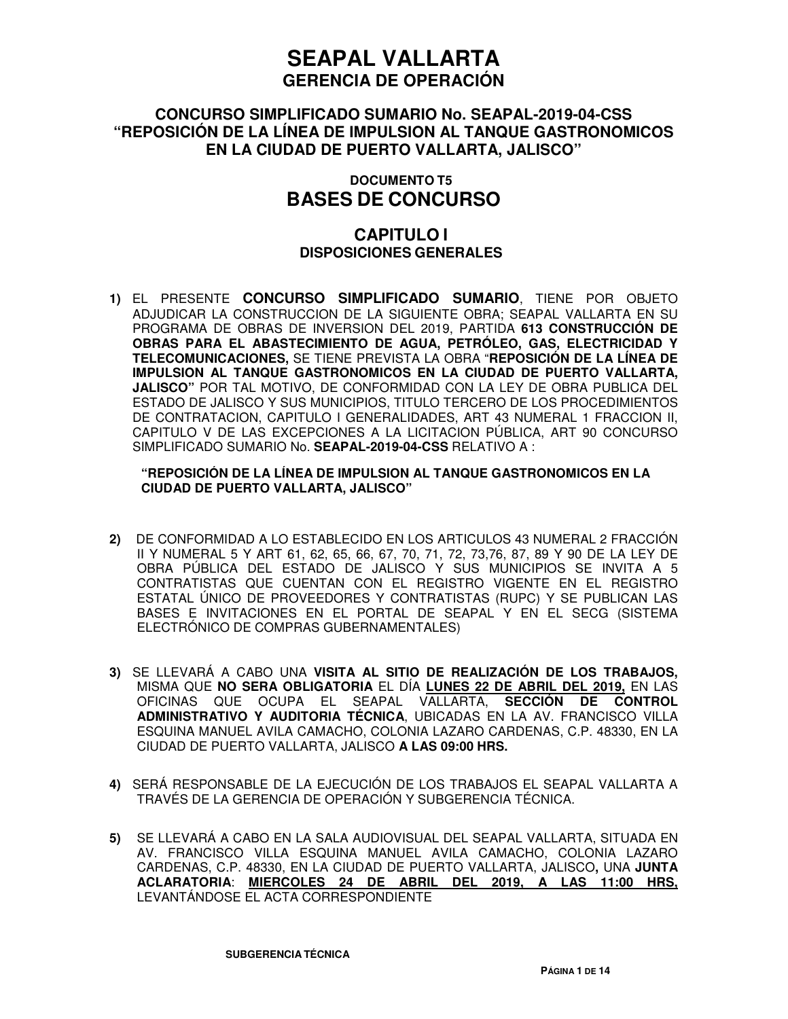### **CONCURSO SIMPLIFICADO SUMARIO No. SEAPAL-2019-04-CSS "REPOSICIÓN DE LA LÍNEA DE IMPULSION AL TANQUE GASTRONOMICOS EN LA CIUDAD DE PUERTO VALLARTA, JALISCO"**

### **DOCUMENTO T5 BASES DE CONCURSO**

### **CAPITULO I DISPOSICIONES GENERALES**

**1)** EL PRESENTE **CONCURSO SIMPLIFICADO SUMARIO**, TIENE POR OBJETO ADJUDICAR LA CONSTRUCCION DE LA SIGUIENTE OBRA; SEAPAL VALLARTA EN SU PROGRAMA DE OBRAS DE INVERSION DEL 2019, PARTIDA **613 CONSTRUCCIÓN DE OBRAS PARA EL ABASTECIMIENTO DE AGUA, PETRÓLEO, GAS, ELECTRICIDAD Y TELECOMUNICACIONES,** SE TIENE PREVISTA LA OBRA "**REPOSICIÓN DE LA LÍNEA DE IMPULSION AL TANQUE GASTRONOMICOS EN LA CIUDAD DE PUERTO VALLARTA, JALISCO"** POR TAL MOTIVO, DE CONFORMIDAD CON LA LEY DE OBRA PUBLICA DEL ESTADO DE JALISCO Y SUS MUNICIPIOS, TITULO TERCERO DE LOS PROCEDIMIENTOS DE CONTRATACION, CAPITULO I GENERALIDADES, ART 43 NUMERAL 1 FRACCION II, CAPITULO V DE LAS EXCEPCIONES A LA LICITACION PÚBLICA, ART 90 CONCURSO SIMPLIFICADO SUMARIO No. **SEAPAL-2019-04-CSS** RELATIVO A :

#### **"REPOSICIÓN DE LA LÍNEA DE IMPULSION AL TANQUE GASTRONOMICOS EN LA CIUDAD DE PUERTO VALLARTA, JALISCO"**

- **2)** DE CONFORMIDAD A LO ESTABLECIDO EN LOS ARTICULOS 43 NUMERAL 2 FRACCIÓN II Y NUMERAL 5 Y ART 61, 62, 65, 66, 67, 70, 71, 72, 73,76, 87, 89 Y 90 DE LA LEY DE OBRA PÚBLICA DEL ESTADO DE JALISCO Y SUS MUNICIPIOS SE INVITA A 5 CONTRATISTAS QUE CUENTAN CON EL REGISTRO VIGENTE EN EL REGISTRO ESTATAL ÚNICO DE PROVEEDORES Y CONTRATISTAS (RUPC) Y SE PUBLICAN LAS BASES E INVITACIONES EN EL PORTAL DE SEAPAL Y EN EL SECG (SISTEMA ELECTRÓNICO DE COMPRAS GUBERNAMENTALES)
- **3)** SE LLEVARÁ A CABO UNA **VISITA AL SITIO DE REALIZACIÓN DE LOS TRABAJOS,** MISMA QUE **NO SERA OBLIGATORIA** EL DÍA **LUNES 22 DE ABRIL DEL 2019,** EN LAS OFICINAS QUE OCUPA EL SEAPAL VALLARTA, **SECCIÓN DE CONTROL ADMINISTRATIVO Y AUDITORIA TÉCNICA**, UBICADAS EN LA AV. FRANCISCO VILLA ESQUINA MANUEL AVILA CAMACHO, COLONIA LAZARO CARDENAS, C.P. 48330, EN LA CIUDAD DE PUERTO VALLARTA, JALISCO **A LAS 09:00 HRS.**
- **4)** SERÁ RESPONSABLE DE LA EJECUCIÓN DE LOS TRABAJOS EL SEAPAL VALLARTA A TRAVÉS DE LA GERENCIA DE OPERACIÓN Y SUBGERENCIA TÉCNICA.
- **5)** SE LLEVARÁ A CABO EN LA SALA AUDIOVISUAL DEL SEAPAL VALLARTA, SITUADA EN AV. FRANCISCO VILLA ESQUINA MANUEL AVILA CAMACHO, COLONIA LAZARO CARDENAS, C.P. 48330, EN LA CIUDAD DE PUERTO VALLARTA, JALISCO**,** UNA **JUNTA ACLARATORIA**: **MIERCOLES 24 DE ABRIL DEL 2019, A LAS 11:00 HRS,**  LEVANTÁNDOSE EL ACTA CORRESPONDIENTE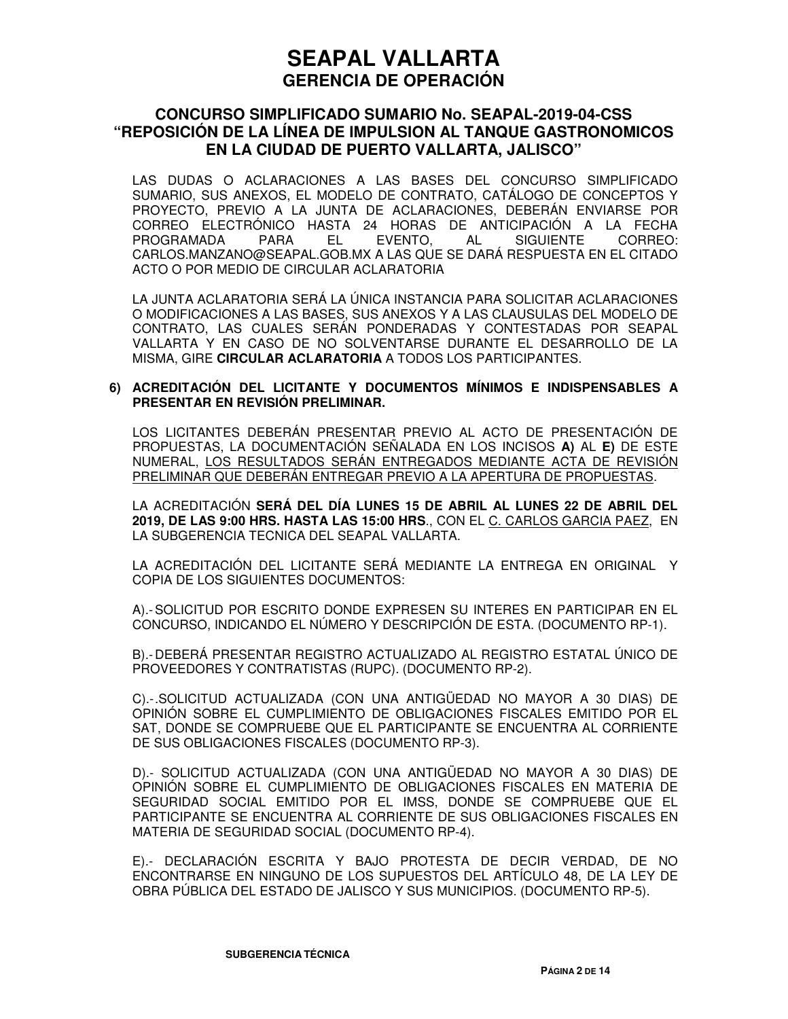### **CONCURSO SIMPLIFICADO SUMARIO No. SEAPAL-2019-04-CSS "REPOSICIÓN DE LA LÍNEA DE IMPULSION AL TANQUE GASTRONOMICOS EN LA CIUDAD DE PUERTO VALLARTA, JALISCO"**

LAS DUDAS O ACLARACIONES A LAS BASES DEL CONCURSO SIMPLIFICADO SUMARIO, SUS ANEXOS, EL MODELO DE CONTRATO, CATÁLOGO DE CONCEPTOS Y PROYECTO, PREVIO A LA JUNTA DE ACLARACIONES, DEBERÁN ENVIARSE POR CORREO ELECTRÓNICO HASTA 24 HORAS DE ANTICIPACIÓN A LA FECHA PROGRAMADA PARA EL EVENTO, AL SIGUIENTE CORREO: CARLOS.MANZANO@SEAPAL.GOB.MX A LAS QUE SE DARÁ RESPUESTA EN EL CITADO ACTO O POR MEDIO DE CIRCULAR ACLARATORIA

LA JUNTA ACLARATORIA SERÁ LA ÚNICA INSTANCIA PARA SOLICITAR ACLARACIONES O MODIFICACIONES A LAS BASES, SUS ANEXOS Y A LAS CLAUSULAS DEL MODELO DE CONTRATO, LAS CUALES SERÁN PONDERADAS Y CONTESTADAS POR SEAPAL VALLARTA Y EN CASO DE NO SOLVENTARSE DURANTE EL DESARROLLO DE LA MISMA, GIRE **CIRCULAR ACLARATORIA** A TODOS LOS PARTICIPANTES.

#### **6) ACREDITACIÓN DEL LICITANTE Y DOCUMENTOS MÍNIMOS E INDISPENSABLES A PRESENTAR EN REVISIÓN PRELIMINAR.**

LOS LICITANTES DEBERÁN PRESENTAR PREVIO AL ACTO DE PRESENTACIÓN DE PROPUESTAS, LA DOCUMENTACIÓN SEÑALADA EN LOS INCISOS **A)** AL **E)** DE ESTE NUMERAL, LOS RESULTADOS SERÁN ENTREGADOS MEDIANTE ACTA DE REVISIÓN PRELIMINAR QUE DEBERÁN ENTREGAR PREVIO A LA APERTURA DE PROPUESTAS.

LA ACREDITACIÓN **SERÁ DEL DÍA LUNES 15 DE ABRIL AL LUNES 22 DE ABRIL DEL 2019, DE LAS 9:00 HRS. HASTA LAS 15:00 HRS**., CON EL C. CARLOS GARCIA PAEZ, EN LA SUBGERENCIA TECNICA DEL SEAPAL VALLARTA.

LA ACREDITACIÓN DEL LICITANTE SERÁ MEDIANTE LA ENTREGA EN ORIGINAL Y COPIA DE LOS SIGUIENTES DOCUMENTOS:

A).- SOLICITUD POR ESCRITO DONDE EXPRESEN SU INTERES EN PARTICIPAR EN EL CONCURSO, INDICANDO EL NÚMERO Y DESCRIPCIÓN DE ESTA. (DOCUMENTO RP-1).

B).- DEBERÁ PRESENTAR REGISTRO ACTUALIZADO AL REGISTRO ESTATAL ÚNICO DE PROVEEDORES Y CONTRATISTAS (RUPC). (DOCUMENTO RP-2).

C).- .SOLICITUD ACTUALIZADA (CON UNA ANTIGÜEDAD NO MAYOR A 30 DIAS) DE OPINIÓN SOBRE EL CUMPLIMIENTO DE OBLIGACIONES FISCALES EMITIDO POR EL SAT, DONDE SE COMPRUEBE QUE EL PARTICIPANTE SE ENCUENTRA AL CORRIENTE DE SUS OBLIGACIONES FISCALES (DOCUMENTO RP-3).

D).- SOLICITUD ACTUALIZADA (CON UNA ANTIGÜEDAD NO MAYOR A 30 DIAS) DE OPINIÓN SOBRE EL CUMPLIMIENTO DE OBLIGACIONES FISCALES EN MATERIA DE SEGURIDAD SOCIAL EMITIDO POR EL IMSS, DONDE SE COMPRUEBE QUE EL PARTICIPANTE SE ENCUENTRA AL CORRIENTE DE SUS OBLIGACIONES FISCALES EN MATERIA DE SEGURIDAD SOCIAL (DOCUMENTO RP-4).

E).- DECLARACIÓN ESCRITA Y BAJO PROTESTA DE DECIR VERDAD, DE NO ENCONTRARSE EN NINGUNO DE LOS SUPUESTOS DEL ARTÍCULO 48, DE LA LEY DE OBRA PÚBLICA DEL ESTADO DE JALISCO Y SUS MUNICIPIOS. (DOCUMENTO RP-5).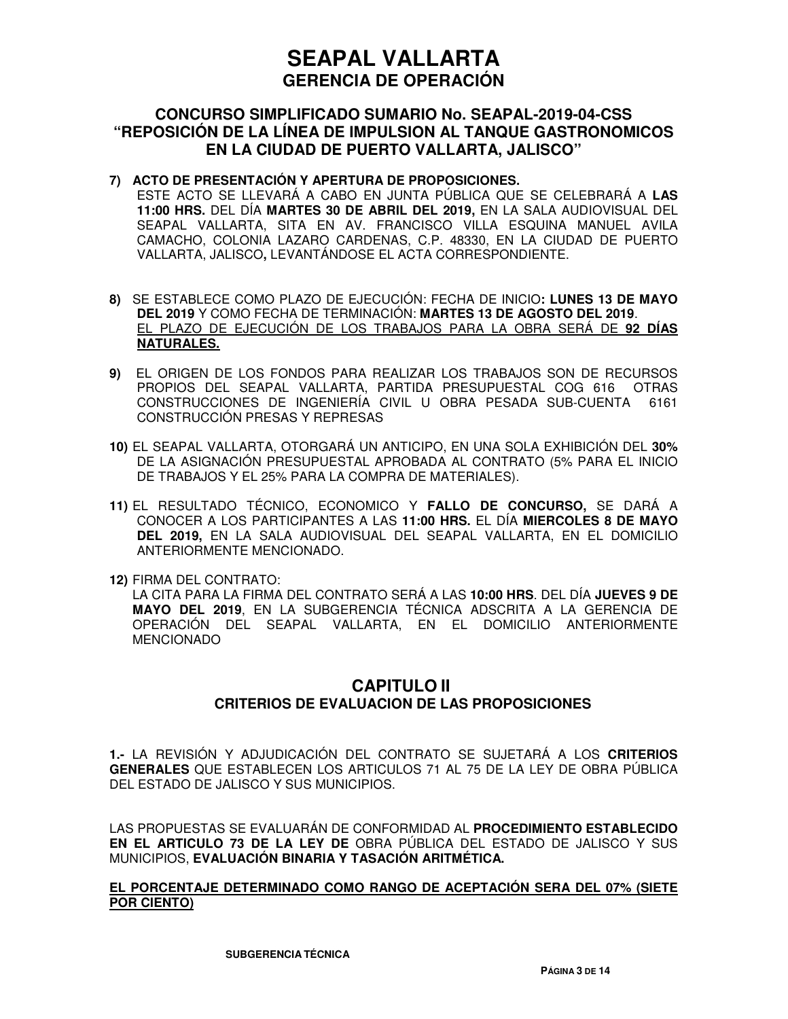### **CONCURSO SIMPLIFICADO SUMARIO No. SEAPAL-2019-04-CSS "REPOSICIÓN DE LA LÍNEA DE IMPULSION AL TANQUE GASTRONOMICOS EN LA CIUDAD DE PUERTO VALLARTA, JALISCO"**

#### **7) ACTO DE PRESENTACIÓN Y APERTURA DE PROPOSICIONES.**

ESTE ACTO SE LLEVARÁ A CABO EN JUNTA PÚBLICA QUE SE CELEBRARÁ A **LAS 11:00 HRS.** DEL DÍA **MARTES 30 DE ABRIL DEL 2019,** EN LA SALA AUDIOVISUAL DEL SEAPAL VALLARTA, SITA EN AV. FRANCISCO VILLA ESQUINA MANUEL AVILA CAMACHO, COLONIA LAZARO CARDENAS, C.P. 48330, EN LA CIUDAD DE PUERTO VALLARTA, JALISCO**,** LEVANTÁNDOSE EL ACTA CORRESPONDIENTE.

- **8)** SE ESTABLECE COMO PLAZO DE EJECUCIÓN: FECHA DE INICIO**: LUNES 13 DE MAYO DEL 2019** Y COMO FECHA DE TERMINACIÓN: **MARTES 13 DE AGOSTO DEL 2019**. EL PLAZO DE EJECUCIÓN DE LOS TRABAJOS PARA LA OBRA SERÁ DE **92 DÍAS NATURALES.**
- **9)** EL ORIGEN DE LOS FONDOS PARA REALIZAR LOS TRABAJOS SON DE RECURSOS PROPIOS DEL SEAPAL VALLARTA, PARTIDA PRESUPUESTAL COG 616 OTRAS CONSTRUCCIONES DE INGENIERÍA CIVIL U OBRA PESADA SUB-CUENTA 6161 CONSTRUCCIÓN PRESAS Y REPRESAS
- **10)** EL SEAPAL VALLARTA, OTORGARÁ UN ANTICIPO, EN UNA SOLA EXHIBICIÓN DEL **30%** DE LA ASIGNACIÓN PRESUPUESTAL APROBADA AL CONTRATO (5% PARA EL INICIO DE TRABAJOS Y EL 25% PARA LA COMPRA DE MATERIALES).
- **11)** EL RESULTADO TÉCNICO, ECONOMICO Y **FALLO DE CONCURSO,** SE DARÁ A CONOCER A LOS PARTICIPANTES A LAS **11:00 HRS.** EL DÍA **MIERCOLES 8 DE MAYO DEL 2019,** EN LA SALA AUDIOVISUAL DEL SEAPAL VALLARTA, EN EL DOMICILIO ANTERIORMENTE MENCIONADO.
- **12)** FIRMA DEL CONTRATO:

LA CITA PARA LA FIRMA DEL CONTRATO SERÁ A LAS **10:00 HRS**. DEL DÍA **JUEVES 9 DE MAYO DEL 2019**, EN LA SUBGERENCIA TÉCNICA ADSCRITA A LA GERENCIA DE OPERACIÓN DEL SEAPAL VALLARTA, EN EL DOMICILIO ANTERIORMENTE MENCIONADO

### **CAPITULO II CRITERIOS DE EVALUACION DE LAS PROPOSICIONES**

**1.-** LA REVISIÓN Y ADJUDICACIÓN DEL CONTRATO SE SUJETARÁ A LOS **CRITERIOS GENERALES** QUE ESTABLECEN LOS ARTICULOS 71 AL 75 DE LA LEY DE OBRA PÚBLICA DEL ESTADO DE JALISCO Y SUS MUNICIPIOS.

LAS PROPUESTAS SE EVALUARÁN DE CONFORMIDAD AL **PROCEDIMIENTO ESTABLECIDO EN EL ARTICULO 73 DE LA LEY DE** OBRA PÚBLICA DEL ESTADO DE JALISCO Y SUS MUNICIPIOS, **EVALUACIÓN BINARIA Y TASACIÓN ARITMÉTICA.** 

#### **EL PORCENTAJE DETERMINADO COMO RANGO DE ACEPTACIÓN SERA DEL 07% (SIETE POR CIENTO)**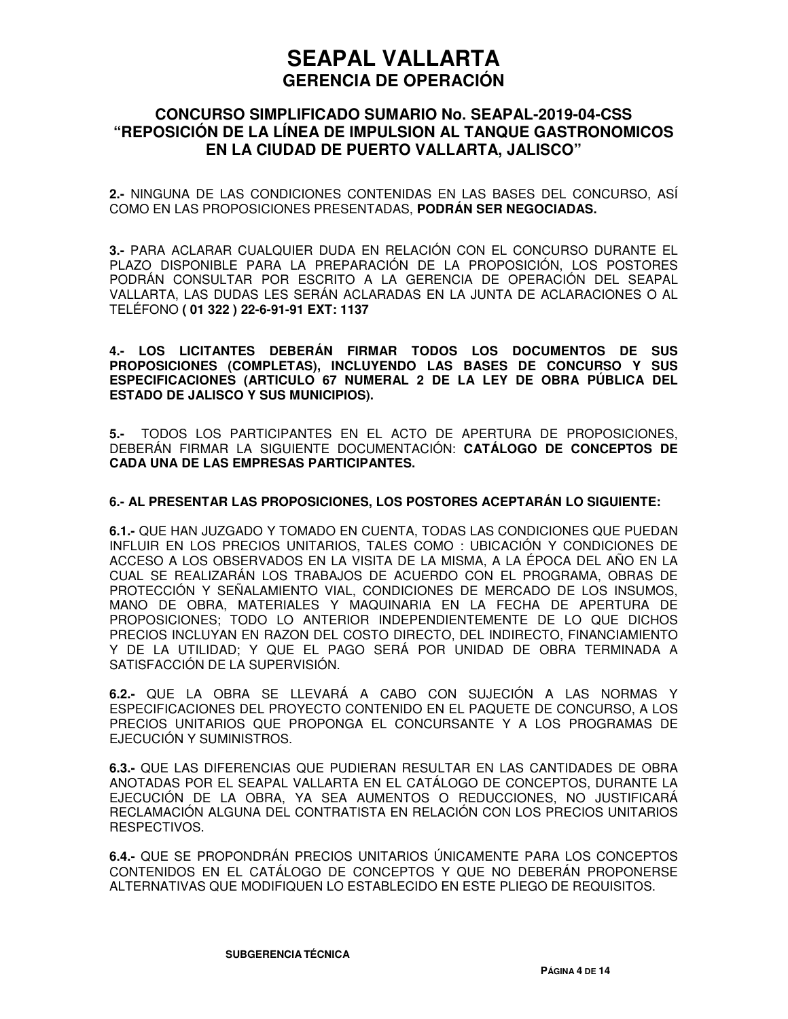### **CONCURSO SIMPLIFICADO SUMARIO No. SEAPAL-2019-04-CSS "REPOSICIÓN DE LA LÍNEA DE IMPULSION AL TANQUE GASTRONOMICOS EN LA CIUDAD DE PUERTO VALLARTA, JALISCO"**

**2.-** NINGUNA DE LAS CONDICIONES CONTENIDAS EN LAS BASES DEL CONCURSO, ASÍ COMO EN LAS PROPOSICIONES PRESENTADAS, **PODRÁN SER NEGOCIADAS.**

**3.-** PARA ACLARAR CUALQUIER DUDA EN RELACIÓN CON EL CONCURSO DURANTE EL PLAZO DISPONIBLE PARA LA PREPARACIÓN DE LA PROPOSICIÓN, LOS POSTORES PODRÁN CONSULTAR POR ESCRITO A LA GERENCIA DE OPERACIÓN DEL SEAPAL VALLARTA, LAS DUDAS LES SERÁN ACLARADAS EN LA JUNTA DE ACLARACIONES O AL TELÉFONO **( 01 322 ) 22-6-91-91 EXT: 1137**

**4.- LOS LICITANTES DEBERÁN FIRMAR TODOS LOS DOCUMENTOS DE SUS PROPOSICIONES (COMPLETAS), INCLUYENDO LAS BASES DE CONCURSO Y SUS ESPECIFICACIONES (ARTICULO 67 NUMERAL 2 DE LA LEY DE OBRA PÚBLICA DEL ESTADO DE JALISCO Y SUS MUNICIPIOS).** 

**5.-** TODOS LOS PARTICIPANTES EN EL ACTO DE APERTURA DE PROPOSICIONES, DEBERÁN FIRMAR LA SIGUIENTE DOCUMENTACIÓN: **CATÁLOGO DE CONCEPTOS DE CADA UNA DE LAS EMPRESAS PARTICIPANTES.**

#### **6.- AL PRESENTAR LAS PROPOSICIONES, LOS POSTORES ACEPTARÁN LO SIGUIENTE:**

**6.1.-** QUE HAN JUZGADO Y TOMADO EN CUENTA, TODAS LAS CONDICIONES QUE PUEDAN INFLUIR EN LOS PRECIOS UNITARIOS, TALES COMO : UBICACIÓN Y CONDICIONES DE ACCESO A LOS OBSERVADOS EN LA VISITA DE LA MISMA, A LA ÉPOCA DEL AÑO EN LA CUAL SE REALIZARÁN LOS TRABAJOS DE ACUERDO CON EL PROGRAMA, OBRAS DE PROTECCIÓN Y SEÑALAMIENTO VIAL, CONDICIONES DE MERCADO DE LOS INSUMOS, MANO DE OBRA, MATERIALES Y MAQUINARIA EN LA FECHA DE APERTURA DE PROPOSICIONES; TODO LO ANTERIOR INDEPENDIENTEMENTE DE LO QUE DICHOS PRECIOS INCLUYAN EN RAZON DEL COSTO DIRECTO, DEL INDIRECTO, FINANCIAMIENTO Y DE LA UTILIDAD; Y QUE EL PAGO SERÁ POR UNIDAD DE OBRA TERMINADA A SATISFACCIÓN DE LA SUPERVISIÓN.

**6.2.-** QUE LA OBRA SE LLEVARÁ A CABO CON SUJECIÓN A LAS NORMAS Y ESPECIFICACIONES DEL PROYECTO CONTENIDO EN EL PAQUETE DE CONCURSO, A LOS PRECIOS UNITARIOS QUE PROPONGA EL CONCURSANTE Y A LOS PROGRAMAS DE EJECUCIÓN Y SUMINISTROS.

**6.3.-** QUE LAS DIFERENCIAS QUE PUDIERAN RESULTAR EN LAS CANTIDADES DE OBRA ANOTADAS POR EL SEAPAL VALLARTA EN EL CATÁLOGO DE CONCEPTOS, DURANTE LA EJECUCIÓN DE LA OBRA, YA SEA AUMENTOS O REDUCCIONES, NO JUSTIFICARÁ RECLAMACIÓN ALGUNA DEL CONTRATISTA EN RELACIÓN CON LOS PRECIOS UNITARIOS RESPECTIVOS.

**6.4.-** QUE SE PROPONDRÁN PRECIOS UNITARIOS ÚNICAMENTE PARA LOS CONCEPTOS CONTENIDOS EN EL CATÁLOGO DE CONCEPTOS Y QUE NO DEBERÁN PROPONERSE ALTERNATIVAS QUE MODIFIQUEN LO ESTABLECIDO EN ESTE PLIEGO DE REQUISITOS.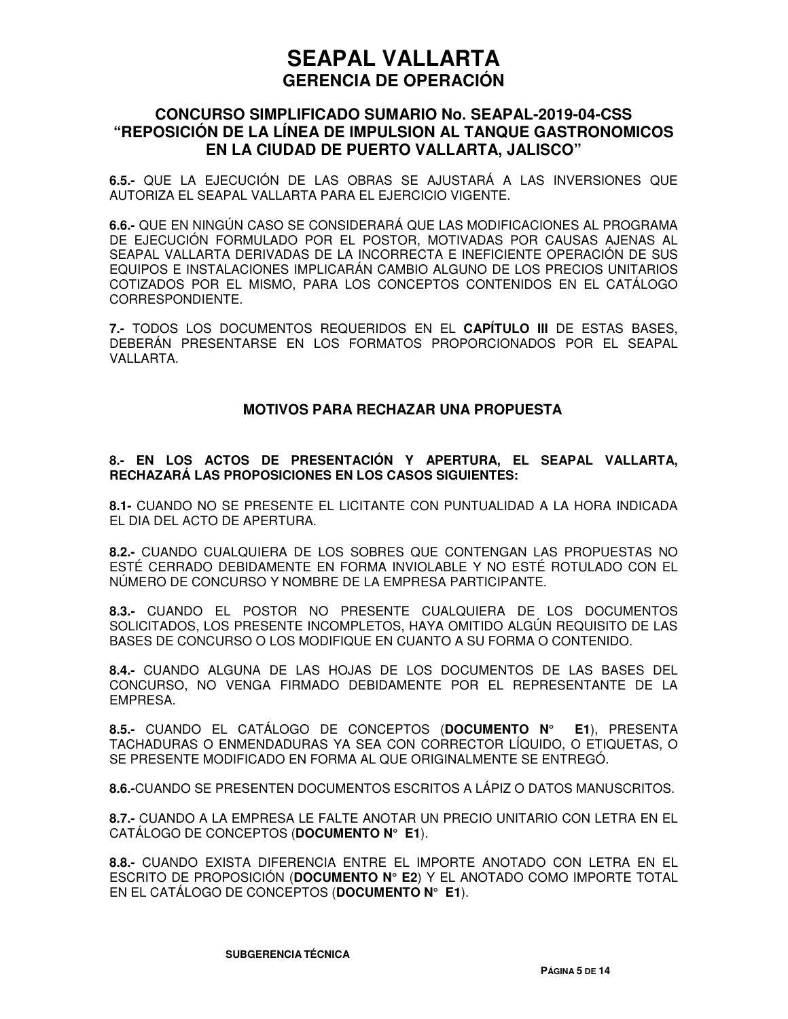### **CONCURSO SIMPLIFICADO SUMARIO No. SEAPAL-2019-04-CSS "REPOSICIÓN DE LA LÍNEA DE IMPULSION AL TANQUE GASTRONOMICOS EN LA CIUDAD DE PUERTO VALLARTA, JALISCO"**

**6.5.-** QUE LA EJECUCIÓN DE LAS OBRAS SE AJUSTARÁ A LAS INVERSIONES QUE AUTORIZA EL SEAPAL VALLARTA PARA EL EJERCICIO VIGENTE.

**6.6.-** QUE EN NINGÚN CASO SE CONSIDERARÁ QUE LAS MODIFICACIONES AL PROGRAMA DE EJECUCIÓN FORMULADO POR EL POSTOR, MOTIVADAS POR CAUSAS AJENAS AL SEAPAL VALLARTA DERIVADAS DE LA INCORRECTA E INEFICIENTE OPERACIÓN DE SUS EQUIPOS E INSTALACIONES IMPLICARÁN CAMBIO ALGUNO DE LOS PRECIOS UNITARIOS COTIZADOS POR EL MISMO, PARA LOS CONCEPTOS CONTENIDOS EN EL CATÁLOGO CORRESPONDIENTE.

**7.-** TODOS LOS DOCUMENTOS REQUERIDOS EN EL **CAPÍTULO III** DE ESTAS BASES, DEBERÁN PRESENTARSE EN LOS FORMATOS PROPORCIONADOS POR EL SEAPAL VALLARTA.

#### **MOTIVOS PARA RECHAZAR UNA PROPUESTA**

#### **8.- EN LOS ACTOS DE PRESENTACIÓN Y APERTURA, EL SEAPAL VALLARTA, RECHAZARÁ LAS PROPOSICIONES EN LOS CASOS SIGUIENTES:**

**8.1-** CUANDO NO SE PRESENTE EL LICITANTE CON PUNTUALIDAD A LA HORA INDICADA EL DIA DEL ACTO DE APERTURA.

**8.2.-** CUANDO CUALQUIERA DE LOS SOBRES QUE CONTENGAN LAS PROPUESTAS NO ESTÉ CERRADO DEBIDAMENTE EN FORMA INVIOLABLE Y NO ESTÉ ROTULADO CON EL NÚMERO DE CONCURSO Y NOMBRE DE LA EMPRESA PARTICIPANTE.

**8.3.-** CUANDO EL POSTOR NO PRESENTE CUALQUIERA DE LOS DOCUMENTOS SOLICITADOS, LOS PRESENTE INCOMPLETOS, HAYA OMITIDO ALGÚN REQUISITO DE LAS BASES DE CONCURSO O LOS MODIFIQUE EN CUANTO A SU FORMA O CONTENIDO.

**8.4.-** CUANDO ALGUNA DE LAS HOJAS DE LOS DOCUMENTOS DE LAS BASES DEL CONCURSO, NO VENGA FIRMADO DEBIDAMENTE POR EL REPRESENTANTE DE LA EMPRESA.

**8.5.-** CUANDO EL CATÁLOGO DE CONCEPTOS (**DOCUMENTO N° E1**), PRESENTA TACHADURAS O ENMENDADURAS YA SEA CON CORRECTOR LÍQUIDO, O ETIQUETAS, O SE PRESENTE MODIFICADO EN FORMA AL QUE ORIGINALMENTE SE ENTREGÓ.

**8.6.-**CUANDO SE PRESENTEN DOCUMENTOS ESCRITOS A LÁPIZ O DATOS MANUSCRITOS.

**8.7.-** CUANDO A LA EMPRESA LE FALTE ANOTAR UN PRECIO UNITARIO CON LETRA EN EL CATÁLOGO DE CONCEPTOS (**DOCUMENTO N° E1**).

**8.8.-** CUANDO EXISTA DIFERENCIA ENTRE EL IMPORTE ANOTADO CON LETRA EN EL ESCRITO DE PROPOSICIÓN (**DOCUMENTO N° E2**) Y EL ANOTADO COMO IMPORTE TOTAL EN EL CATÁLOGO DE CONCEPTOS (**DOCUMENTO N° E1**).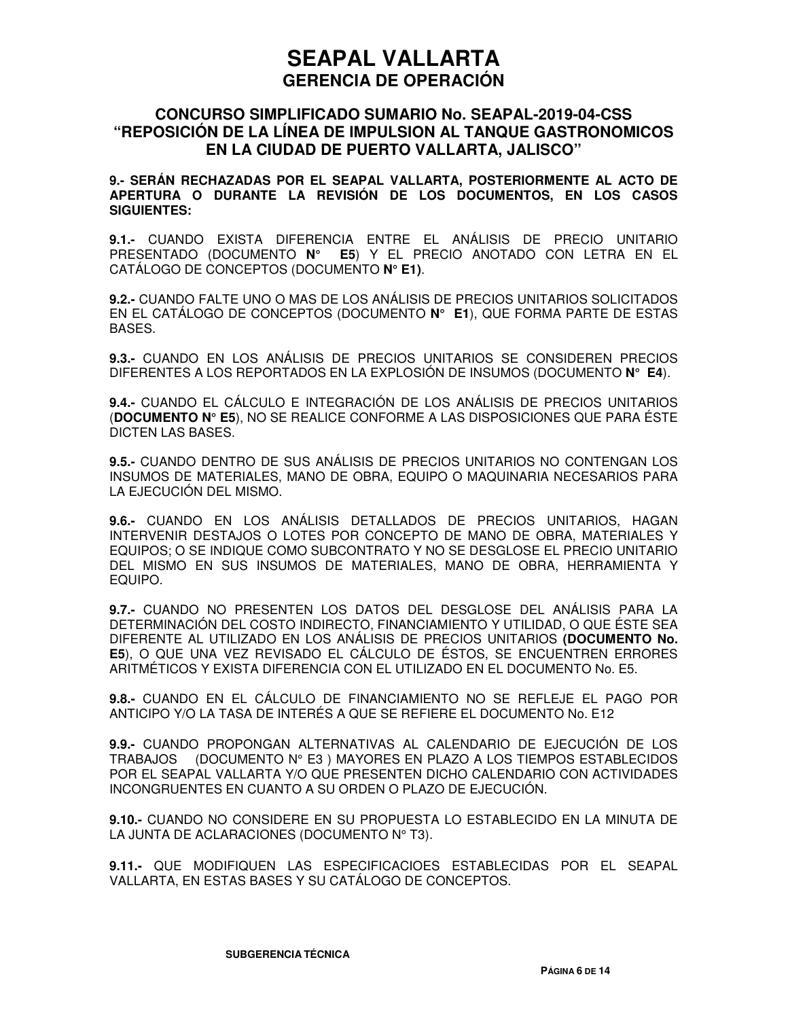#### **CONCURSO SIMPLIFICADO SUMARIO No. SEAPAL-2019-04-CSS "REPOSICIÓN DE LA LÍNEA DE IMPULSION AL TANQUE GASTRONOMICOS EN LA CIUDAD DE PUERTO VALLARTA, JALISCO"**

**9.- SERÁN RECHAZADAS POR EL SEAPAL VALLARTA, POSTERIORMENTE AL ACTO DE APERTURA O DURANTE LA REVISIÓN DE LOS DOCUMENTOS, EN LOS CASOS SIGUIENTES:** 

**9.1.-** CUANDO EXISTA DIFERENCIA ENTRE EL ANÁLISIS DE PRECIO UNITARIO PRESENTADO (DOCUMENTO **N° E5**) Y EL PRECIO ANOTADO CON LETRA EN EL CATÁLOGO DE CONCEPTOS (DOCUMENTO **N° E1)**.

**9.2.-** CUANDO FALTE UNO O MAS DE LOS ANÁLISIS DE PRECIOS UNITARIOS SOLICITADOS EN EL CATÁLOGO DE CONCEPTOS (DOCUMENTO **N° E1**), QUE FORMA PARTE DE ESTAS BASES.

**9.3.-** CUANDO EN LOS ANÁLISIS DE PRECIOS UNITARIOS SE CONSIDEREN PRECIOS DIFERENTES A LOS REPORTADOS EN LA EXPLOSIÓN DE INSUMOS (DOCUMENTO **N° E4**).

**9.4.-** CUANDO EL CÁLCULO E INTEGRACIÓN DE LOS ANÁLISIS DE PRECIOS UNITARIOS (**DOCUMENTO N° E5**), NO SE REALICE CONFORME A LAS DISPOSICIONES QUE PARA ÉSTE DICTEN LAS BASES.

**9.5.-** CUANDO DENTRO DE SUS ANÁLISIS DE PRECIOS UNITARIOS NO CONTENGAN LOS INSUMOS DE MATERIALES, MANO DE OBRA, EQUIPO O MAQUINARIA NECESARIOS PARA LA EJECUCIÓN DEL MISMO.

**9.6.-** CUANDO EN LOS ANÁLISIS DETALLADOS DE PRECIOS UNITARIOS, HAGAN INTERVENIR DESTAJOS O LOTES POR CONCEPTO DE MANO DE OBRA, MATERIALES Y EQUIPOS; O SE INDIQUE COMO SUBCONTRATO Y NO SE DESGLOSE EL PRECIO UNITARIO DEL MISMO EN SUS INSUMOS DE MATERIALES, MANO DE OBRA, HERRAMIENTA Y EQUIPO.

**9.7.-** CUANDO NO PRESENTEN LOS DATOS DEL DESGLOSE DEL ANÁLISIS PARA LA DETERMINACIÓN DEL COSTO INDIRECTO, FINANCIAMIENTO Y UTILIDAD, O QUE ÉSTE SEA DIFERENTE AL UTILIZADO EN LOS ANÁLISIS DE PRECIOS UNITARIOS **(DOCUMENTO No. E5**), O QUE UNA VEZ REVISADO EL CÁLCULO DE ÉSTOS, SE ENCUENTREN ERRORES ARITMÉTICOS Y EXISTA DIFERENCIA CON EL UTILIZADO EN EL DOCUMENTO No. E5.

**9.8.-** CUANDO EN EL CÁLCULO DE FINANCIAMIENTO NO SE REFLEJE EL PAGO POR ANTICIPO Y/O LA TASA DE INTERÉS A QUE SE REFIERE EL DOCUMENTO No. E12

**9.9.-** CUANDO PROPONGAN ALTERNATIVAS AL CALENDARIO DE EJECUCIÓN DE LOS TRABAJOS (DOCUMENTO N° E3 ) MAYORES EN PLAZO A LOS TIEMPOS ESTABLECIDOS POR EL SEAPAL VALLARTA Y/O QUE PRESENTEN DICHO CALENDARIO CON ACTIVIDADES INCONGRUENTES EN CUANTO A SU ORDEN O PLAZO DE EJECUCIÓN.

**9.10.-** CUANDO NO CONSIDERE EN SU PROPUESTA LO ESTABLECIDO EN LA MINUTA DE LA JUNTA DE ACLARACIONES (DOCUMENTO Nº T3).

**9.11.-** QUE MODIFIQUEN LAS ESPECIFICACIOES ESTABLECIDAS POR EL SEAPAL VALLARTA, EN ESTAS BASES Y SU CATÁLOGO DE CONCEPTOS.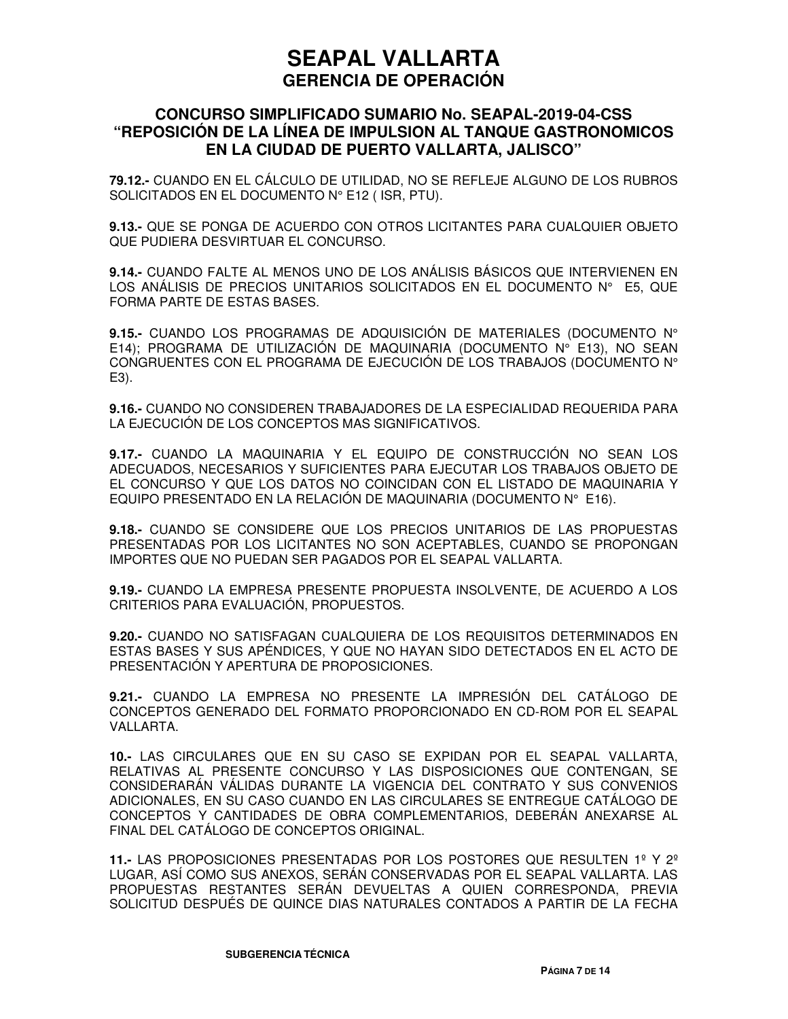### **CONCURSO SIMPLIFICADO SUMARIO No. SEAPAL-2019-04-CSS "REPOSICIÓN DE LA LÍNEA DE IMPULSION AL TANQUE GASTRONOMICOS EN LA CIUDAD DE PUERTO VALLARTA, JALISCO"**

**79.12.-** CUANDO EN EL CÁLCULO DE UTILIDAD, NO SE REFLEJE ALGUNO DE LOS RUBROS SOLICITADOS EN EL DOCUMENTO N° E12 ( ISR, PTU).

**9.13.-** QUE SE PONGA DE ACUERDO CON OTROS LICITANTES PARA CUALQUIER OBJETO QUE PUDIERA DESVIRTUAR EL CONCURSO.

**9.14.-** CUANDO FALTE AL MENOS UNO DE LOS ANÁLISIS BÁSICOS QUE INTERVIENEN EN LOS ANÁLISIS DE PRECIOS UNITARIOS SOLICITADOS EN EL DOCUMENTO N° E5, QUE FORMA PARTE DE ESTAS BASES.

**9.15.-** CUANDO LOS PROGRAMAS DE ADQUISICIÓN DE MATERIALES (DOCUMENTO N° E14); PROGRAMA DE UTILIZACIÓN DE MAQUINARIA (DOCUMENTO N° E13), NO SEAN CONGRUENTES CON EL PROGRAMA DE EJECUCIÓN DE LOS TRABAJOS (DOCUMENTO N° E3).

**9.16.-** CUANDO NO CONSIDEREN TRABAJADORES DE LA ESPECIALIDAD REQUERIDA PARA LA EJECUCIÓN DE LOS CONCEPTOS MAS SIGNIFICATIVOS.

**9.17.-** CUANDO LA MAQUINARIA Y EL EQUIPO DE CONSTRUCCIÓN NO SEAN LOS ADECUADOS, NECESARIOS Y SUFICIENTES PARA EJECUTAR LOS TRABAJOS OBJETO DE EL CONCURSO Y QUE LOS DATOS NO COINCIDAN CON EL LISTADO DE MAQUINARIA Y EQUIPO PRESENTADO EN LA RELACIÓN DE MAQUINARIA (DOCUMENTO N° E16).

**9.18.-** CUANDO SE CONSIDERE QUE LOS PRECIOS UNITARIOS DE LAS PROPUESTAS PRESENTADAS POR LOS LICITANTES NO SON ACEPTABLES, CUANDO SE PROPONGAN IMPORTES QUE NO PUEDAN SER PAGADOS POR EL SEAPAL VALLARTA.

**9.19.-** CUANDO LA EMPRESA PRESENTE PROPUESTA INSOLVENTE, DE ACUERDO A LOS CRITERIOS PARA EVALUACIÓN, PROPUESTOS.

**9.20.-** CUANDO NO SATISFAGAN CUALQUIERA DE LOS REQUISITOS DETERMINADOS EN ESTAS BASES Y SUS APÉNDICES, Y QUE NO HAYAN SIDO DETECTADOS EN EL ACTO DE PRESENTACIÓN Y APERTURA DE PROPOSICIONES.

**9.21.-** CUANDO LA EMPRESA NO PRESENTE LA IMPRESIÓN DEL CATÁLOGO DE CONCEPTOS GENERADO DEL FORMATO PROPORCIONADO EN CD-ROM POR EL SEAPAL VALLARTA.

**10.-** LAS CIRCULARES QUE EN SU CASO SE EXPIDAN POR EL SEAPAL VALLARTA, RELATIVAS AL PRESENTE CONCURSO Y LAS DISPOSICIONES QUE CONTENGAN, SE CONSIDERARÁN VÁLIDAS DURANTE LA VIGENCIA DEL CONTRATO Y SUS CONVENIOS ADICIONALES, EN SU CASO CUANDO EN LAS CIRCULARES SE ENTREGUE CATÁLOGO DE CONCEPTOS Y CANTIDADES DE OBRA COMPLEMENTARIOS, DEBERÁN ANEXARSE AL FINAL DEL CATÁLOGO DE CONCEPTOS ORIGINAL.

**11.-** LAS PROPOSICIONES PRESENTADAS POR LOS POSTORES QUE RESULTEN 1º Y 2º LUGAR, ASÍ COMO SUS ANEXOS, SERÁN CONSERVADAS POR EL SEAPAL VALLARTA. LAS PROPUESTAS RESTANTES SERÁN DEVUELTAS A QUIEN CORRESPONDA, PREVIA SOLICITUD DESPUÉS DE QUINCE DIAS NATURALES CONTADOS A PARTIR DE LA FECHA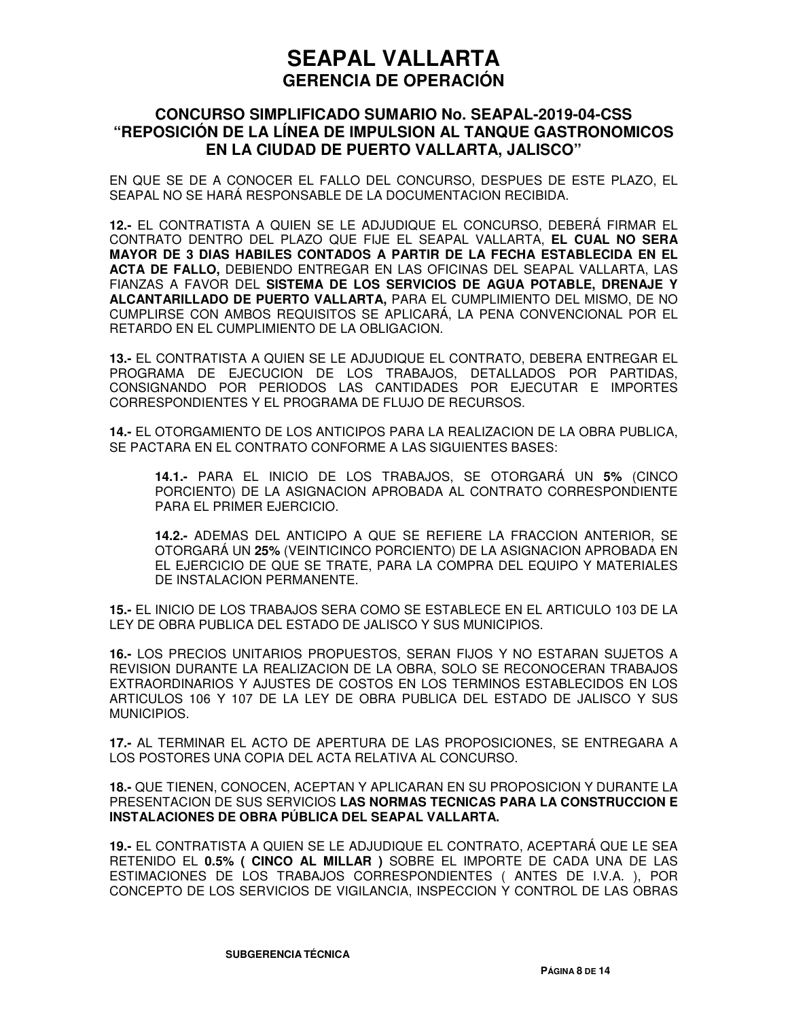### **CONCURSO SIMPLIFICADO SUMARIO No. SEAPAL-2019-04-CSS "REPOSICIÓN DE LA LÍNEA DE IMPULSION AL TANQUE GASTRONOMICOS EN LA CIUDAD DE PUERTO VALLARTA, JALISCO"**

EN QUE SE DE A CONOCER EL FALLO DEL CONCURSO, DESPUES DE ESTE PLAZO, EL SEAPAL NO SE HARÁ RESPONSABLE DE LA DOCUMENTACION RECIBIDA.

**12.-** EL CONTRATISTA A QUIEN SE LE ADJUDIQUE EL CONCURSO, DEBERÁ FIRMAR EL CONTRATO DENTRO DEL PLAZO QUE FIJE EL SEAPAL VALLARTA, **EL CUAL NO SERA MAYOR DE 3 DIAS HABILES CONTADOS A PARTIR DE LA FECHA ESTABLECIDA EN EL ACTA DE FALLO,** DEBIENDO ENTREGAR EN LAS OFICINAS DEL SEAPAL VALLARTA, LAS FIANZAS A FAVOR DEL **SISTEMA DE LOS SERVICIOS DE AGUA POTABLE, DRENAJE Y ALCANTARILLADO DE PUERTO VALLARTA,** PARA EL CUMPLIMIENTO DEL MISMO, DE NO CUMPLIRSE CON AMBOS REQUISITOS SE APLICARÁ, LA PENA CONVENCIONAL POR EL RETARDO EN EL CUMPLIMIENTO DE LA OBLIGACION.

**13.-** EL CONTRATISTA A QUIEN SE LE ADJUDIQUE EL CONTRATO, DEBERA ENTREGAR EL PROGRAMA DE EJECUCION DE LOS TRABAJOS, DETALLADOS POR PARTIDAS, CONSIGNANDO POR PERIODOS LAS CANTIDADES POR EJECUTAR E IMPORTES CORRESPONDIENTES Y EL PROGRAMA DE FLUJO DE RECURSOS.

**14.-** EL OTORGAMIENTO DE LOS ANTICIPOS PARA LA REALIZACION DE LA OBRA PUBLICA, SE PACTARA EN EL CONTRATO CONFORME A LAS SIGUIENTES BASES:

**14.1.-** PARA EL INICIO DE LOS TRABAJOS, SE OTORGARÁ UN **5%** (CINCO PORCIENTO) DE LA ASIGNACION APROBADA AL CONTRATO CORRESPONDIENTE PARA EL PRIMER EJERCICIO.

**14.2.-** ADEMAS DEL ANTICIPO A QUE SE REFIERE LA FRACCION ANTERIOR, SE OTORGARÁ UN **25%** (VEINTICINCO PORCIENTO) DE LA ASIGNACION APROBADA EN EL EJERCICIO DE QUE SE TRATE, PARA LA COMPRA DEL EQUIPO Y MATERIALES DE INSTALACION PERMANENTE.

**15.-** EL INICIO DE LOS TRABAJOS SERA COMO SE ESTABLECE EN EL ARTICULO 103 DE LA LEY DE OBRA PUBLICA DEL ESTADO DE JALISCO Y SUS MUNICIPIOS.

**16.-** LOS PRECIOS UNITARIOS PROPUESTOS, SERAN FIJOS Y NO ESTARAN SUJETOS A REVISION DURANTE LA REALIZACION DE LA OBRA, SOLO SE RECONOCERAN TRABAJOS EXTRAORDINARIOS Y AJUSTES DE COSTOS EN LOS TERMINOS ESTABLECIDOS EN LOS ARTICULOS 106 Y 107 DE LA LEY DE OBRA PUBLICA DEL ESTADO DE JALISCO Y SUS MUNICIPIOS.

**17.-** AL TERMINAR EL ACTO DE APERTURA DE LAS PROPOSICIONES, SE ENTREGARA A LOS POSTORES UNA COPIA DEL ACTA RELATIVA AL CONCURSO.

**18.-** QUE TIENEN, CONOCEN, ACEPTAN Y APLICARAN EN SU PROPOSICION Y DURANTE LA PRESENTACION DE SUS SERVICIOS **LAS NORMAS TECNICAS PARA LA CONSTRUCCION E INSTALACIONES DE OBRA PÚBLICA DEL SEAPAL VALLARTA.**

**19.-** EL CONTRATISTA A QUIEN SE LE ADJUDIQUE EL CONTRATO, ACEPTARÁ QUE LE SEA RETENIDO EL **0.5% ( CINCO AL MILLAR )** SOBRE EL IMPORTE DE CADA UNA DE LAS ESTIMACIONES DE LOS TRABAJOS CORRESPONDIENTES ( ANTES DE I.V.A. ), POR CONCEPTO DE LOS SERVICIOS DE VIGILANCIA, INSPECCION Y CONTROL DE LAS OBRAS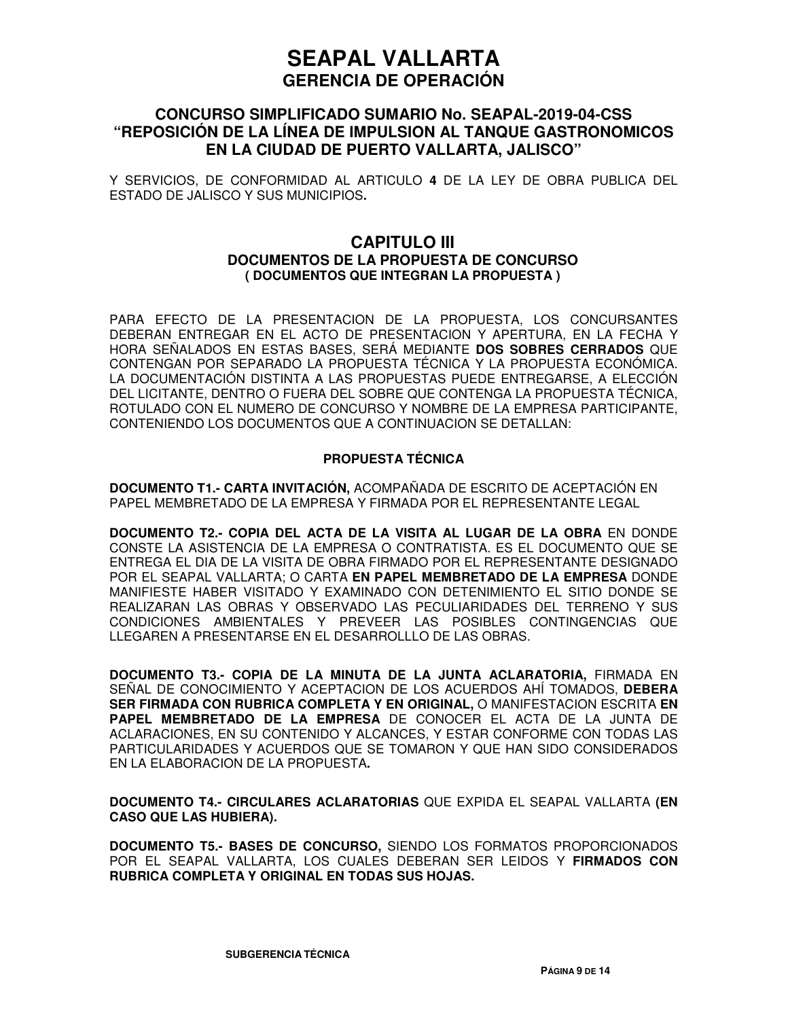### **CONCURSO SIMPLIFICADO SUMARIO No. SEAPAL-2019-04-CSS "REPOSICIÓN DE LA LÍNEA DE IMPULSION AL TANQUE GASTRONOMICOS EN LA CIUDAD DE PUERTO VALLARTA, JALISCO"**

Y SERVICIOS, DE CONFORMIDAD AL ARTICULO **4** DE LA LEY DE OBRA PUBLICA DEL ESTADO DE JALISCO Y SUS MUNICIPIOS**.**

#### **CAPITULO III DOCUMENTOS DE LA PROPUESTA DE CONCURSO ( DOCUMENTOS QUE INTEGRAN LA PROPUESTA )**

PARA EFECTO DE LA PRESENTACION DE LA PROPUESTA, LOS CONCURSANTES DEBERAN ENTREGAR EN EL ACTO DE PRESENTACION Y APERTURA, EN LA FECHA Y HORA SEÑALADOS EN ESTAS BASES, SERÁ MEDIANTE **DOS SOBRES CERRADOS** QUE CONTENGAN POR SEPARADO LA PROPUESTA TÉCNICA Y LA PROPUESTA ECONÓMICA. LA DOCUMENTACIÓN DISTINTA A LAS PROPUESTAS PUEDE ENTREGARSE, A ELECCIÓN DEL LICITANTE, DENTRO O FUERA DEL SOBRE QUE CONTENGA LA PROPUESTA TÉCNICA, ROTULADO CON EL NUMERO DE CONCURSO Y NOMBRE DE LA EMPRESA PARTICIPANTE, CONTENIENDO LOS DOCUMENTOS QUE A CONTINUACION SE DETALLAN:

#### **PROPUESTA TÉCNICA**

**DOCUMENTO T1.- CARTA INVITACIÓN,** ACOMPAÑADA DE ESCRITO DE ACEPTACIÓN EN PAPEL MEMBRETADO DE LA EMPRESA Y FIRMADA POR EL REPRESENTANTE LEGAL

**DOCUMENTO T2.- COPIA DEL ACTA DE LA VISITA AL LUGAR DE LA OBRA** EN DONDE CONSTE LA ASISTENCIA DE LA EMPRESA O CONTRATISTA. ES EL DOCUMENTO QUE SE ENTREGA EL DIA DE LA VISITA DE OBRA FIRMADO POR EL REPRESENTANTE DESIGNADO POR EL SEAPAL VALLARTA; O CARTA **EN PAPEL MEMBRETADO DE LA EMPRESA** DONDE MANIFIESTE HABER VISITADO Y EXAMINADO CON DETENIMIENTO EL SITIO DONDE SE REALIZARAN LAS OBRAS Y OBSERVADO LAS PECULIARIDADES DEL TERRENO Y SUS CONDICIONES AMBIENTALES Y PREVEER LAS POSIBLES CONTINGENCIAS QUE LLEGAREN A PRESENTARSE EN EL DESARROLLLO DE LAS OBRAS.

**DOCUMENTO T3.- COPIA DE LA MINUTA DE LA JUNTA ACLARATORIA,** FIRMADA EN SEÑAL DE CONOCIMIENTO Y ACEPTACION DE LOS ACUERDOS AHÍ TOMADOS, **DEBERA SER FIRMADA CON RUBRICA COMPLETA Y EN ORIGINAL,** O MANIFESTACION ESCRITA **EN PAPEL MEMBRETADO DE LA EMPRESA** DE CONOCER EL ACTA DE LA JUNTA DE ACLARACIONES, EN SU CONTENIDO Y ALCANCES, Y ESTAR CONFORME CON TODAS LAS PARTICULARIDADES Y ACUERDOS QUE SE TOMARON Y QUE HAN SIDO CONSIDERADOS EN LA ELABORACION DE LA PROPUESTA**.**

**DOCUMENTO T4.- CIRCULARES ACLARATORIAS** QUE EXPIDA EL SEAPAL VALLARTA **(EN CASO QUE LAS HUBIERA).** 

**DOCUMENTO T5.- BASES DE CONCURSO,** SIENDO LOS FORMATOS PROPORCIONADOS POR EL SEAPAL VALLARTA, LOS CUALES DEBERAN SER LEIDOS Y **FIRMADOS CON RUBRICA COMPLETA Y ORIGINAL EN TODAS SUS HOJAS.**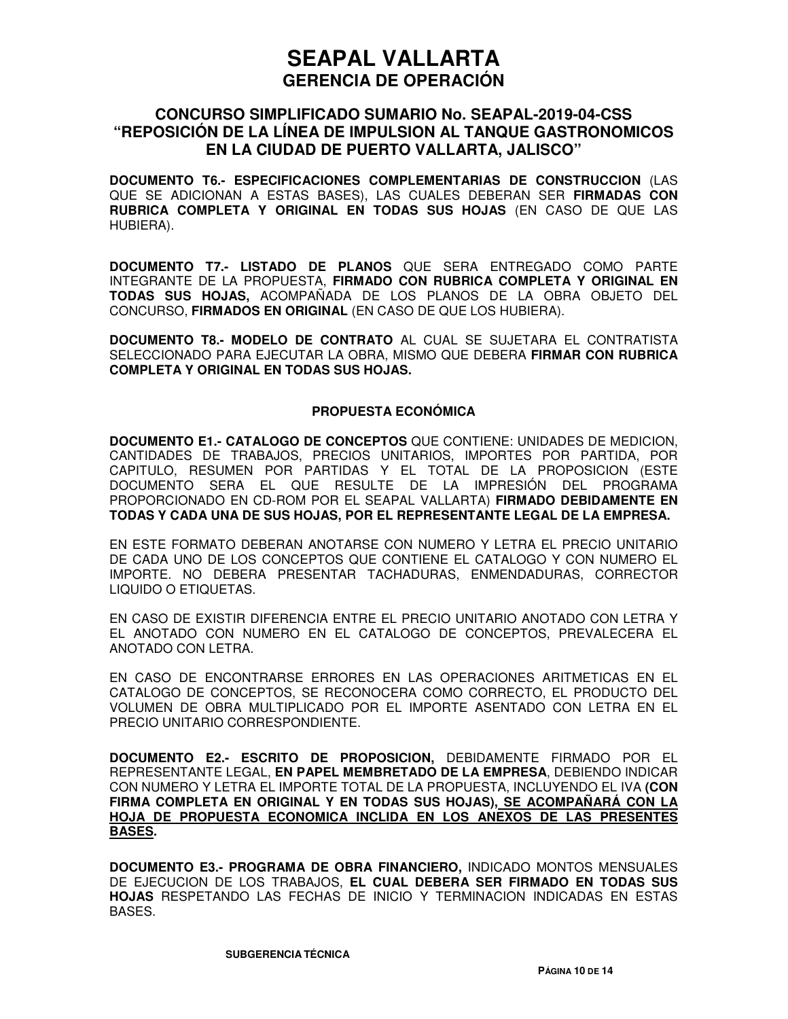### **CONCURSO SIMPLIFICADO SUMARIO No. SEAPAL-2019-04-CSS "REPOSICIÓN DE LA LÍNEA DE IMPULSION AL TANQUE GASTRONOMICOS EN LA CIUDAD DE PUERTO VALLARTA, JALISCO"**

**DOCUMENTO T6.- ESPECIFICACIONES COMPLEMENTARIAS DE CONSTRUCCION** (LAS QUE SE ADICIONAN A ESTAS BASES), LAS CUALES DEBERAN SER **FIRMADAS CON RUBRICA COMPLETA Y ORIGINAL EN TODAS SUS HOJAS** (EN CASO DE QUE LAS HUBIERA).

**DOCUMENTO T7.- LISTADO DE PLANOS** QUE SERA ENTREGADO COMO PARTE INTEGRANTE DE LA PROPUESTA, **FIRMADO CON RUBRICA COMPLETA Y ORIGINAL EN TODAS SUS HOJAS,** ACOMPAÑADA DE LOS PLANOS DE LA OBRA OBJETO DEL CONCURSO, **FIRMADOS EN ORIGINAL** (EN CASO DE QUE LOS HUBIERA).

**DOCUMENTO T8.- MODELO DE CONTRATO** AL CUAL SE SUJETARA EL CONTRATISTA SELECCIONADO PARA EJECUTAR LA OBRA, MISMO QUE DEBERA **FIRMAR CON RUBRICA COMPLETA Y ORIGINAL EN TODAS SUS HOJAS.**

#### **PROPUESTA ECONÓMICA**

**DOCUMENTO E1.- CATALOGO DE CONCEPTOS** QUE CONTIENE: UNIDADES DE MEDICION, CANTIDADES DE TRABAJOS, PRECIOS UNITARIOS, IMPORTES POR PARTIDA, POR CAPITULO, RESUMEN POR PARTIDAS Y EL TOTAL DE LA PROPOSICION (ESTE DOCUMENTO SERA EL QUE RESULTE DE LA IMPRESIÓN DEL PROGRAMA PROPORCIONADO EN CD-ROM POR EL SEAPAL VALLARTA) **FIRMADO DEBIDAMENTE EN TODAS Y CADA UNA DE SUS HOJAS, POR EL REPRESENTANTE LEGAL DE LA EMPRESA.**

EN ESTE FORMATO DEBERAN ANOTARSE CON NUMERO Y LETRA EL PRECIO UNITARIO DE CADA UNO DE LOS CONCEPTOS QUE CONTIENE EL CATALOGO Y CON NUMERO EL IMPORTE. NO DEBERA PRESENTAR TACHADURAS, ENMENDADURAS, CORRECTOR LIQUIDO O ETIQUETAS.

EN CASO DE EXISTIR DIFERENCIA ENTRE EL PRECIO UNITARIO ANOTADO CON LETRA Y EL ANOTADO CON NUMERO EN EL CATALOGO DE CONCEPTOS, PREVALECERA EL ANOTADO CON LETRA.

EN CASO DE ENCONTRARSE ERRORES EN LAS OPERACIONES ARITMETICAS EN EL CATALOGO DE CONCEPTOS, SE RECONOCERA COMO CORRECTO, EL PRODUCTO DEL VOLUMEN DE OBRA MULTIPLICADO POR EL IMPORTE ASENTADO CON LETRA EN EL PRECIO UNITARIO CORRESPONDIENTE.

**DOCUMENTO E2.- ESCRITO DE PROPOSICION,** DEBIDAMENTE FIRMADO POR EL REPRESENTANTE LEGAL, **EN PAPEL MEMBRETADO DE LA EMPRESA**, DEBIENDO INDICAR CON NUMERO Y LETRA EL IMPORTE TOTAL DE LA PROPUESTA, INCLUYENDO EL IVA **(CON FIRMA COMPLETA EN ORIGINAL Y EN TODAS SUS HOJAS), SE ACOMPAÑARÁ CON LA HOJA DE PROPUESTA ECONOMICA INCLIDA EN LOS ANEXOS DE LAS PRESENTES BASES.**

**DOCUMENTO E3.- PROGRAMA DE OBRA FINANCIERO,** INDICADO MONTOS MENSUALES DE EJECUCION DE LOS TRABAJOS, **EL CUAL DEBERA SER FIRMADO EN TODAS SUS HOJAS** RESPETANDO LAS FECHAS DE INICIO Y TERMINACION INDICADAS EN ESTAS BASES.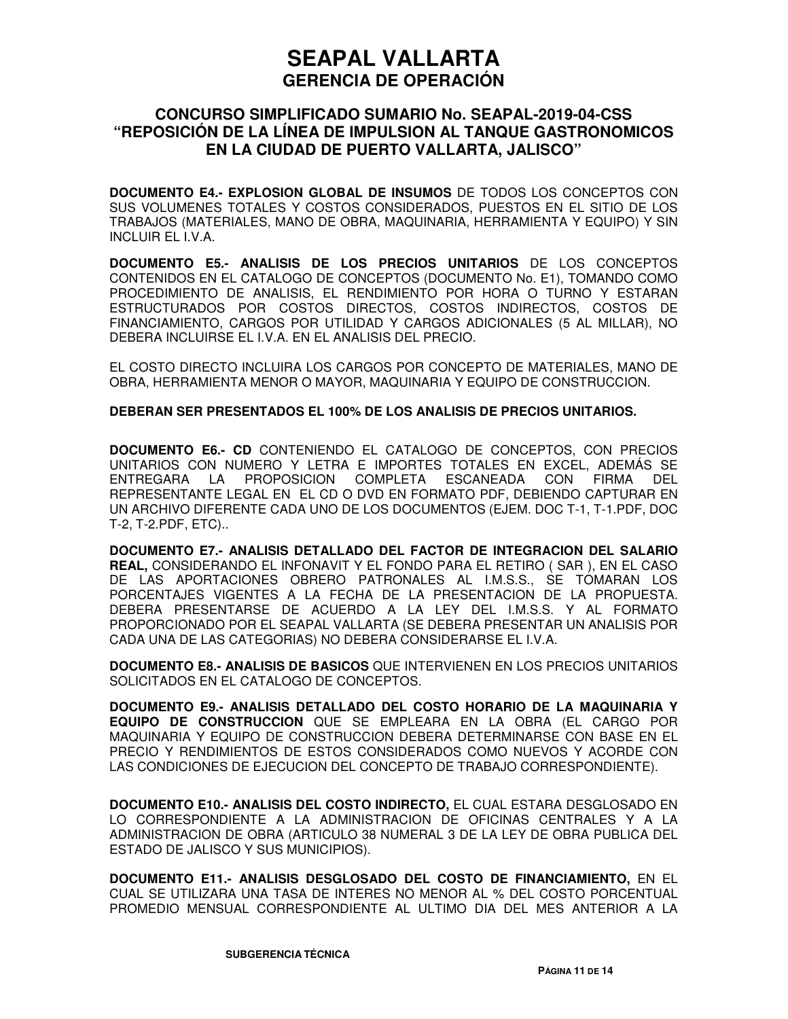### **CONCURSO SIMPLIFICADO SUMARIO No. SEAPAL-2019-04-CSS "REPOSICIÓN DE LA LÍNEA DE IMPULSION AL TANQUE GASTRONOMICOS EN LA CIUDAD DE PUERTO VALLARTA, JALISCO"**

**DOCUMENTO E4.- EXPLOSION GLOBAL DE INSUMOS** DE TODOS LOS CONCEPTOS CON SUS VOLUMENES TOTALES Y COSTOS CONSIDERADOS, PUESTOS EN EL SITIO DE LOS TRABAJOS (MATERIALES, MANO DE OBRA, MAQUINARIA, HERRAMIENTA Y EQUIPO) Y SIN INCLUIR EL I.V.A.

**DOCUMENTO E5.- ANALISIS DE LOS PRECIOS UNITARIOS** DE LOS CONCEPTOS CONTENIDOS EN EL CATALOGO DE CONCEPTOS (DOCUMENTO No. E1), TOMANDO COMO PROCEDIMIENTO DE ANALISIS, EL RENDIMIENTO POR HORA O TURNO Y ESTARAN ESTRUCTURADOS POR COSTOS DIRECTOS, COSTOS INDIRECTOS, COSTOS DE FINANCIAMIENTO, CARGOS POR UTILIDAD Y CARGOS ADICIONALES (5 AL MILLAR), NO DEBERA INCLUIRSE EL I.V.A. EN EL ANALISIS DEL PRECIO.

EL COSTO DIRECTO INCLUIRA LOS CARGOS POR CONCEPTO DE MATERIALES, MANO DE OBRA, HERRAMIENTA MENOR O MAYOR, MAQUINARIA Y EQUIPO DE CONSTRUCCION.

#### **DEBERAN SER PRESENTADOS EL 100% DE LOS ANALISIS DE PRECIOS UNITARIOS.**

**DOCUMENTO E6.- CD** CONTENIENDO EL CATALOGO DE CONCEPTOS, CON PRECIOS UNITARIOS CON NUMERO Y LETRA E IMPORTES TOTALES EN EXCEL, ADEMÁS SE ENTREGARA LA PROPOSICION COMPLETA ESCANEADA CON FIRMA DEL REPRESENTANTE LEGAL EN EL CD O DVD EN FORMATO PDF, DEBIENDO CAPTURAR EN UN ARCHIVO DIFERENTE CADA UNO DE LOS DOCUMENTOS (EJEM. DOC T-1, T-1.PDF, DOC T-2, T-2.PDF, ETC)..

**DOCUMENTO E7.- ANALISIS DETALLADO DEL FACTOR DE INTEGRACION DEL SALARIO REAL,** CONSIDERANDO EL INFONAVIT Y EL FONDO PARA EL RETIRO ( SAR ), EN EL CASO DE LAS APORTACIONES OBRERO PATRONALES AL I.M.S.S., SE TOMARAN LOS PORCENTAJES VIGENTES A LA FECHA DE LA PRESENTACION DE LA PROPUESTA. DEBERA PRESENTARSE DE ACUERDO A LA LEY DEL I.M.S.S. Y AL FORMATO PROPORCIONADO POR EL SEAPAL VALLARTA (SE DEBERA PRESENTAR UN ANALISIS POR CADA UNA DE LAS CATEGORIAS) NO DEBERA CONSIDERARSE EL I.V.A.

**DOCUMENTO E8.- ANALISIS DE BASICOS** QUE INTERVIENEN EN LOS PRECIOS UNITARIOS SOLICITADOS EN EL CATALOGO DE CONCEPTOS.

**DOCUMENTO E9.- ANALISIS DETALLADO DEL COSTO HORARIO DE LA MAQUINARIA Y EQUIPO DE CONSTRUCCION** QUE SE EMPLEARA EN LA OBRA (EL CARGO POR MAQUINARIA Y EQUIPO DE CONSTRUCCION DEBERA DETERMINARSE CON BASE EN EL PRECIO Y RENDIMIENTOS DE ESTOS CONSIDERADOS COMO NUEVOS Y ACORDE CON LAS CONDICIONES DE EJECUCION DEL CONCEPTO DE TRABAJO CORRESPONDIENTE).

**DOCUMENTO E10.- ANALISIS DEL COSTO INDIRECTO,** EL CUAL ESTARA DESGLOSADO EN LO CORRESPONDIENTE A LA ADMINISTRACION DE OFICINAS CENTRALES Y A LA ADMINISTRACION DE OBRA (ARTICULO 38 NUMERAL 3 DE LA LEY DE OBRA PUBLICA DEL ESTADO DE JALISCO Y SUS MUNICIPIOS).

**DOCUMENTO E11.- ANALISIS DESGLOSADO DEL COSTO DE FINANCIAMIENTO,** EN EL CUAL SE UTILIZARA UNA TASA DE INTERES NO MENOR AL % DEL COSTO PORCENTUAL PROMEDIO MENSUAL CORRESPONDIENTE AL ULTIMO DIA DEL MES ANTERIOR A LA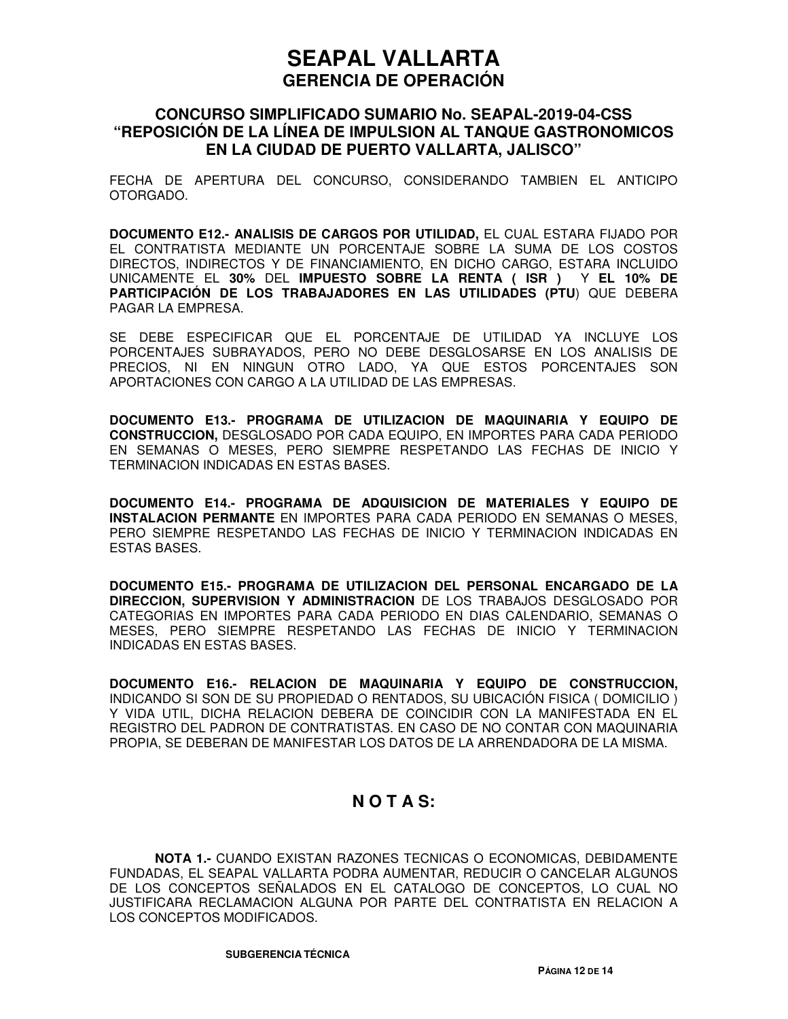### **CONCURSO SIMPLIFICADO SUMARIO No. SEAPAL-2019-04-CSS "REPOSICIÓN DE LA LÍNEA DE IMPULSION AL TANQUE GASTRONOMICOS EN LA CIUDAD DE PUERTO VALLARTA, JALISCO"**

FECHA DE APERTURA DEL CONCURSO, CONSIDERANDO TAMBIEN EL ANTICIPO OTORGADO.

**DOCUMENTO E12.- ANALISIS DE CARGOS POR UTILIDAD,** EL CUAL ESTARA FIJADO POR EL CONTRATISTA MEDIANTE UN PORCENTAJE SOBRE LA SUMA DE LOS COSTOS DIRECTOS, INDIRECTOS Y DE FINANCIAMIENTO, EN DICHO CARGO, ESTARA INCLUIDO UNICAMENTE EL **30%** DEL **IMPUESTO SOBRE LA RENTA ( ISR )** Y **EL 10% DE PARTICIPACIÓN DE LOS TRABAJADORES EN LAS UTILIDADES (PTU**) QUE DEBERA PAGAR LA EMPRESA.

SE DEBE ESPECIFICAR QUE EL PORCENTAJE DE UTILIDAD YA INCLUYE LOS PORCENTAJES SUBRAYADOS, PERO NO DEBE DESGLOSARSE EN LOS ANALISIS DE PRECIOS, NI EN NINGUN OTRO LADO, YA QUE ESTOS PORCENTAJES SON APORTACIONES CON CARGO A LA UTILIDAD DE LAS EMPRESAS.

**DOCUMENTO E13.- PROGRAMA DE UTILIZACION DE MAQUINARIA Y EQUIPO DE CONSTRUCCION,** DESGLOSADO POR CADA EQUIPO, EN IMPORTES PARA CADA PERIODO EN SEMANAS O MESES, PERO SIEMPRE RESPETANDO LAS FECHAS DE INICIO Y TERMINACION INDICADAS EN ESTAS BASES.

**DOCUMENTO E14.- PROGRAMA DE ADQUISICION DE MATERIALES Y EQUIPO DE INSTALACION PERMANTE** EN IMPORTES PARA CADA PERIODO EN SEMANAS O MESES, PERO SIEMPRE RESPETANDO LAS FECHAS DE INICIO Y TERMINACION INDICADAS EN ESTAS BASES.

**DOCUMENTO E15.- PROGRAMA DE UTILIZACION DEL PERSONAL ENCARGADO DE LA DIRECCION, SUPERVISION Y ADMINISTRACION** DE LOS TRABAJOS DESGLOSADO POR CATEGORIAS EN IMPORTES PARA CADA PERIODO EN DIAS CALENDARIO, SEMANAS O MESES, PERO SIEMPRE RESPETANDO LAS FECHAS DE INICIO Y TERMINACION INDICADAS EN ESTAS BASES.

**DOCUMENTO E16.- RELACION DE MAQUINARIA Y EQUIPO DE CONSTRUCCION,** INDICANDO SI SON DE SU PROPIEDAD O RENTADOS, SU UBICACIÓN FISICA ( DOMICILIO ) Y VIDA UTIL, DICHA RELACION DEBERA DE COINCIDIR CON LA MANIFESTADA EN EL REGISTRO DEL PADRON DE CONTRATISTAS. EN CASO DE NO CONTAR CON MAQUINARIA PROPIA, SE DEBERAN DE MANIFESTAR LOS DATOS DE LA ARRENDADORA DE LA MISMA.

### **N O T A S:**

**NOTA 1.-** CUANDO EXISTAN RAZONES TECNICAS O ECONOMICAS, DEBIDAMENTE FUNDADAS, EL SEAPAL VALLARTA PODRA AUMENTAR, REDUCIR O CANCELAR ALGUNOS DE LOS CONCEPTOS SEÑALADOS EN EL CATALOGO DE CONCEPTOS, LO CUAL NO JUSTIFICARA RECLAMACION ALGUNA POR PARTE DEL CONTRATISTA EN RELACION A LOS CONCEPTOS MODIFICADOS.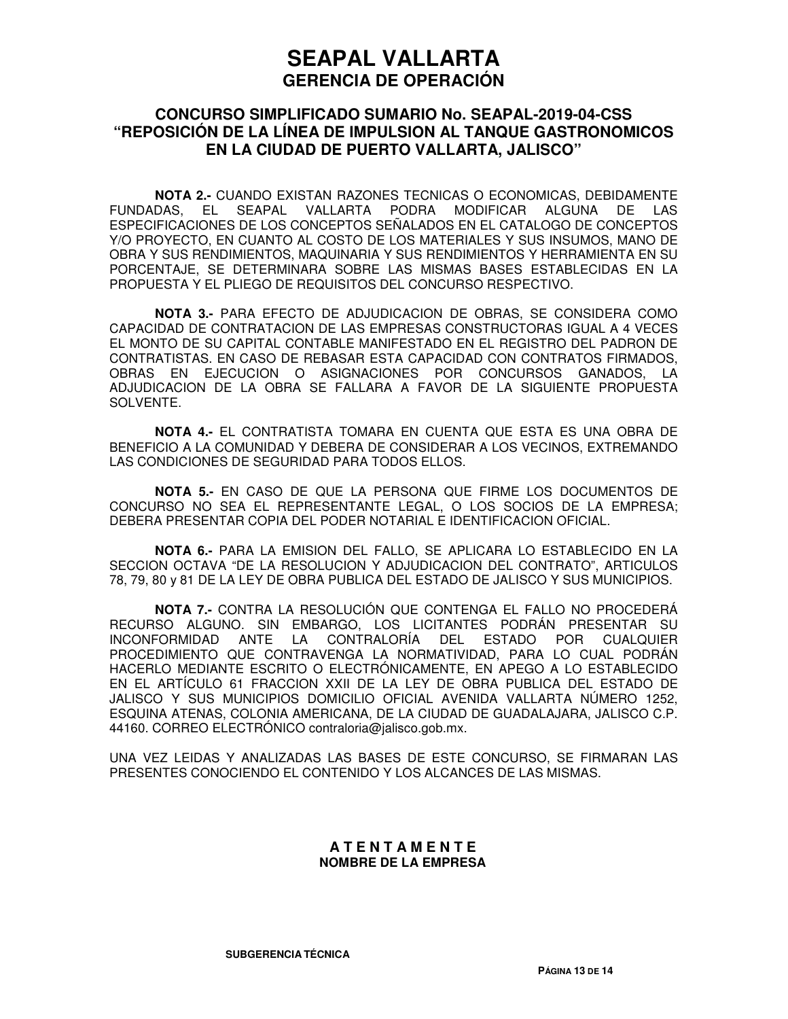### **CONCURSO SIMPLIFICADO SUMARIO No. SEAPAL-2019-04-CSS "REPOSICIÓN DE LA LÍNEA DE IMPULSION AL TANQUE GASTRONOMICOS EN LA CIUDAD DE PUERTO VALLARTA, JALISCO"**

**NOTA 2.-** CUANDO EXISTAN RAZONES TECNICAS O ECONOMICAS, DEBIDAMENTE FUNDADAS, EL SEAPAL VALLARTA PODRA MODIFICAR ALGUNA DE LAS ESPECIFICACIONES DE LOS CONCEPTOS SEÑALADOS EN EL CATALOGO DE CONCEPTOS Y/O PROYECTO, EN CUANTO AL COSTO DE LOS MATERIALES Y SUS INSUMOS, MANO DE OBRA Y SUS RENDIMIENTOS, MAQUINARIA Y SUS RENDIMIENTOS Y HERRAMIENTA EN SU PORCENTAJE, SE DETERMINARA SOBRE LAS MISMAS BASES ESTABLECIDAS EN LA PROPUESTA Y EL PLIEGO DE REQUISITOS DEL CONCURSO RESPECTIVO.

**NOTA 3.-** PARA EFECTO DE ADJUDICACION DE OBRAS, SE CONSIDERA COMO CAPACIDAD DE CONTRATACION DE LAS EMPRESAS CONSTRUCTORAS IGUAL A 4 VECES EL MONTO DE SU CAPITAL CONTABLE MANIFESTADO EN EL REGISTRO DEL PADRON DE CONTRATISTAS. EN CASO DE REBASAR ESTA CAPACIDAD CON CONTRATOS FIRMADOS, OBRAS EN EJECUCION O ASIGNACIONES POR CONCURSOS GANADOS, LA ADJUDICACION DE LA OBRA SE FALLARA A FAVOR DE LA SIGUIENTE PROPUESTA SOLVENTE.

**NOTA 4.-** EL CONTRATISTA TOMARA EN CUENTA QUE ESTA ES UNA OBRA DE BENEFICIO A LA COMUNIDAD Y DEBERA DE CONSIDERAR A LOS VECINOS, EXTREMANDO LAS CONDICIONES DE SEGURIDAD PARA TODOS ELLOS.

**NOTA 5.-** EN CASO DE QUE LA PERSONA QUE FIRME LOS DOCUMENTOS DE CONCURSO NO SEA EL REPRESENTANTE LEGAL, O LOS SOCIOS DE LA EMPRESA; DEBERA PRESENTAR COPIA DEL PODER NOTARIAL E IDENTIFICACION OFICIAL.

**NOTA 6.-** PARA LA EMISION DEL FALLO, SE APLICARA LO ESTABLECIDO EN LA SECCION OCTAVA "DE LA RESOLUCION Y ADJUDICACION DEL CONTRATO", ARTICULOS 78, 79, 80 y 81 DE LA LEY DE OBRA PUBLICA DEL ESTADO DE JALISCO Y SUS MUNICIPIOS.

**NOTA 7.-** CONTRA LA RESOLUCIÓN QUE CONTENGA EL FALLO NO PROCEDERÁ RECURSO ALGUNO. SIN EMBARGO, LOS LICITANTES PODRÁN PRESENTAR SU INCONFORMIDAD ANTE LA CONTRALORÍA DEL ESTADO POR CUALQUIER PROCEDIMIENTO QUE CONTRAVENGA LA NORMATIVIDAD, PARA LO CUAL PODRÁN HACERLO MEDIANTE ESCRITO O ELECTRÓNICAMENTE, EN APEGO A LO ESTABLECIDO EN EL ARTÍCULO 61 FRACCION XXII DE LA LEY DE OBRA PUBLICA DEL ESTADO DE JALISCO Y SUS MUNICIPIOS DOMICILIO OFICIAL AVENIDA VALLARTA NÚMERO 1252, ESQUINA ATENAS, COLONIA AMERICANA, DE LA CIUDAD DE GUADALAJARA, JALISCO C.P. 44160. CORREO ELECTRÓNICO contraloria@jalisco.gob.mx.

UNA VEZ LEIDAS Y ANALIZADAS LAS BASES DE ESTE CONCURSO, SE FIRMARAN LAS PRESENTES CONOCIENDO EL CONTENIDO Y LOS ALCANCES DE LAS MISMAS.

#### **A T E N T A M E N T E NOMBRE DE LA EMPRESA**